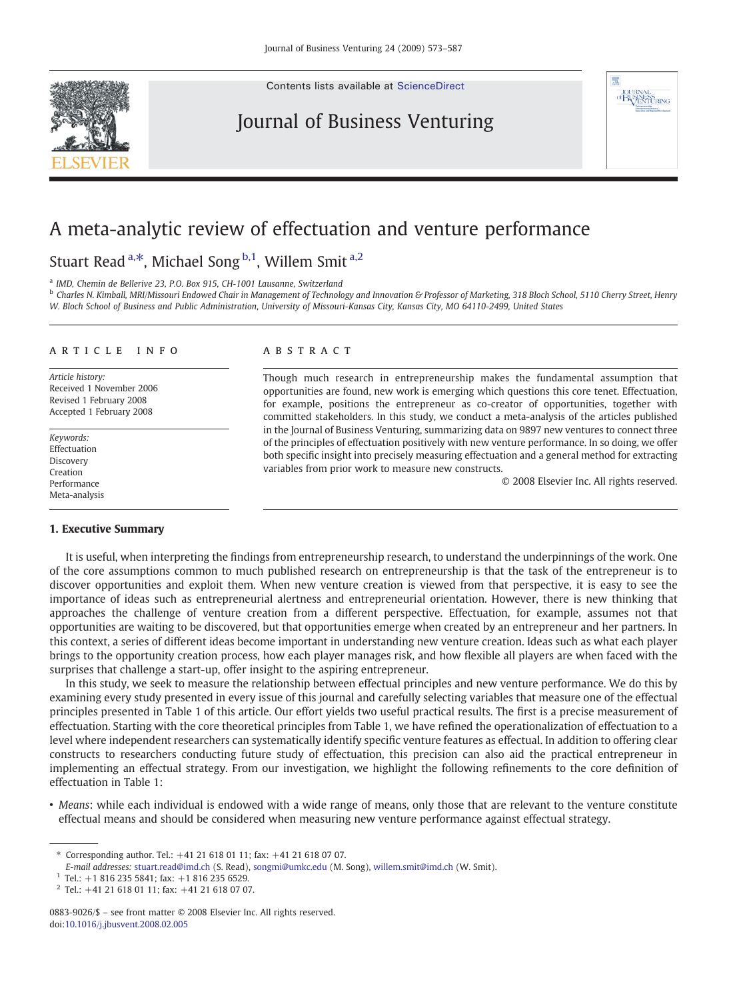

Contents lists available at [ScienceDirect](http://www.sciencedirect.com/science/journal/08839026)

# Journal of Business Venturing



# A meta-analytic review of effectuation and venture performance

Stuart Read  $a, *$ , Michael Song  $b, 1$ , Willem Smit  $a, 2$ 

<sup>a</sup> IMD, Chemin de Bellerive 23, P.O. Box 915, CH-1001 Lausanne, Switzerland

<sup>b</sup> Charles N. Kimball, MRI/Missouri Endowed Chair in Management of Technology and Innovation & Professor of Marketing, 318 Bloch School, 5110 Cherry Street, Henry W. Bloch School of Business and Public Administration, University of Missouri-Kansas City, Kansas City, MO 64110-2499, United States

#### article info abstract

Article history: Received 1 November 2006 Revised 1 February 2008 Accepted 1 February 2008

Keywords: Effectuation Discovery Creation Performance Meta-analysis

# 1. Executive Summary

Though much research in entrepreneurship makes the fundamental assumption that opportunities are found, new work is emerging which questions this core tenet. Effectuation, for example, positions the entrepreneur as co-creator of opportunities, together with committed stakeholders. In this study, we conduct a meta-analysis of the articles published in the Journal of Business Venturing, summarizing data on 9897 new ventures to connect three of the principles of effectuation positively with new venture performance. In so doing, we offer both specific insight into precisely measuring effectuation and a general method for extracting variables from prior work to measure new constructs.

© 2008 Elsevier Inc. All rights reserved.

It is useful, when interpreting the findings from entrepreneurship research, to understand the underpinnings of the work. One of the core assumptions common to much published research on entrepreneurship is that the task of the entrepreneur is to discover opportunities and exploit them. When new venture creation is viewed from that perspective, it is easy to see the importance of ideas such as entrepreneurial alertness and entrepreneurial orientation. However, there is new thinking that approaches the challenge of venture creation from a different perspective. Effectuation, for example, assumes not that opportunities are waiting to be discovered, but that opportunities emerge when created by an entrepreneur and her partners. In this context, a series of different ideas become important in understanding new venture creation. Ideas such as what each player brings to the opportunity creation process, how each player manages risk, and how flexible all players are when faced with the surprises that challenge a start-up, offer insight to the aspiring entrepreneur.

In this study, we seek to measure the relationship between effectual principles and new venture performance. We do this by examining every study presented in every issue of this journal and carefully selecting variables that measure one of the effectual principles presented in Table 1 of this article. Our effort yields two useful practical results. The first is a precise measurement of effectuation. Starting with the core theoretical principles from Table 1, we have refined the operationalization of effectuation to a level where independent researchers can systematically identify specific venture features as effectual. In addition to offering clear constructs to researchers conducting future study of effectuation, this precision can also aid the practical entrepreneur in implementing an effectual strategy. From our investigation, we highlight the following refinements to the core definition of effectuation in Table 1:

• Means: while each individual is endowed with a wide range of means, only those that are relevant to the venture constitute effectual means and should be considered when measuring new venture performance against effectual strategy.

<sup>⁎</sup> Corresponding author. Tel.: +41 21 618 01 11; fax: +41 21 618 07 07.

E-mail addresses: [stuart.read@imd.ch](mailto:stuart.read@imd.ch) (S. Read), [songmi@umkc.edu](mailto:songmi@umkc.edu) (M. Song), [willem.smit@imd.ch](mailto:willem.smit@imd.ch) (W. Smit).

 $1$  Tel.: +1 816 235 5841; fax: +1 816 235 6529.

 $2$  Tel.: +41 21 618 01 11; fax: +41 21 618 07 07.

<sup>0883-9026/\$</sup> – see front matter © 2008 Elsevier Inc. All rights reserved. doi[:10.1016/j.jbusvent.2008.02.005](http://dx.doi.org/10.1016/j.jbusvent.2008.02.005)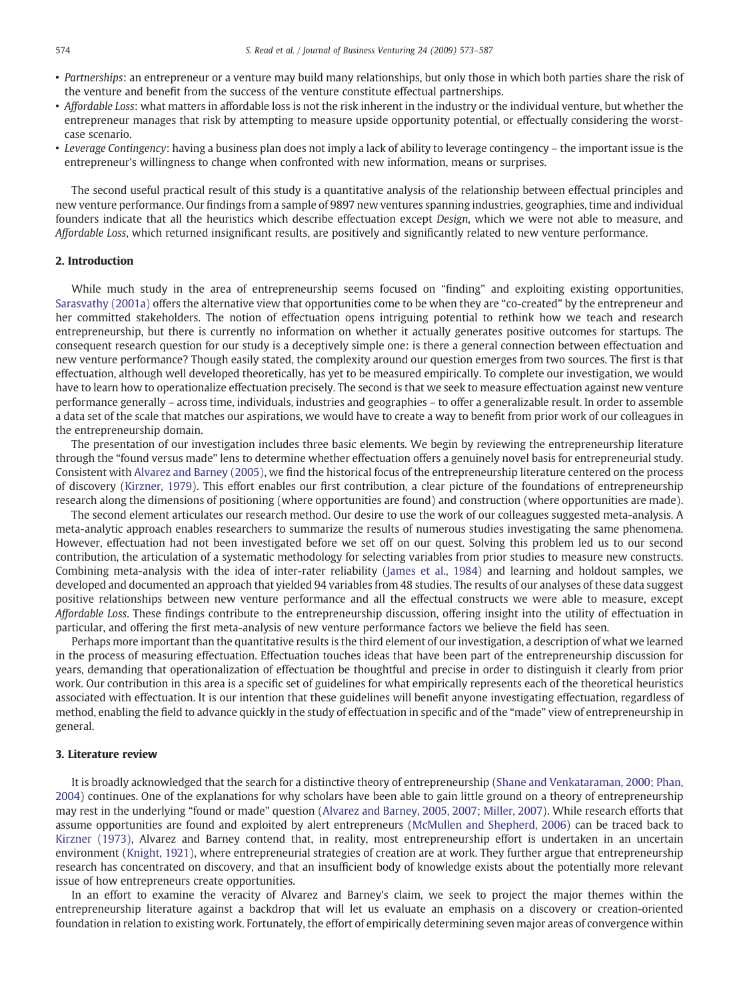- Partnerships: an entrepreneur or a venture may build many relationships, but only those in which both parties share the risk of the venture and benefit from the success of the venture constitute effectual partnerships.
- Affordable Loss: what matters in affordable loss is not the risk inherent in the industry or the individual venture, but whether the entrepreneur manages that risk by attempting to measure upside opportunity potential, or effectually considering the worstcase scenario.
- Leverage Contingency: having a business plan does not imply a lack of ability to leverage contingency the important issue is the entrepreneur's willingness to change when confronted with new information, means or surprises.

The second useful practical result of this study is a quantitative analysis of the relationship between effectual principles and new venture performance. Our findings from a sample of 9897 new ventures spanning industries, geographies, time and individual founders indicate that all the heuristics which describe effectuation except Design, which we were not able to measure, and Affordable Loss, which returned insignificant results, are positively and significantly related to new venture performance.

# 2. Introduction

While much study in the area of entrepreneurship seems focused on "finding" and exploiting existing opportunities, [Sarasvathy \(2001a\)](#page-14-0) offers the alternative view that opportunities come to be when they are "co-created" by the entrepreneur and her committed stakeholders. The notion of effectuation opens intriguing potential to rethink how we teach and research entrepreneurship, but there is currently no information on whether it actually generates positive outcomes for startups. The consequent research question for our study is a deceptively simple one: is there a general connection between effectuation and new venture performance? Though easily stated, the complexity around our question emerges from two sources. The first is that effectuation, although well developed theoretically, has yet to be measured empirically. To complete our investigation, we would have to learn how to operationalize effectuation precisely. The second is that we seek to measure effectuation against new venture performance generally – across time, individuals, industries and geographies – to offer a generalizable result. In order to assemble a data set of the scale that matches our aspirations, we would have to create a way to benefit from prior work of our colleagues in the entrepreneurship domain.

The presentation of our investigation includes three basic elements. We begin by reviewing the entrepreneurship literature through the "found versus made" lens to determine whether effectuation offers a genuinely novel basis for entrepreneurial study. Consistent with [Alvarez and Barney \(2005\)](#page-12-0), we find the historical focus of the entrepreneurship literature centered on the process of discovery ([Kirzner, 1979\)](#page-13-0). This effort enables our first contribution, a clear picture of the foundations of entrepreneurship research along the dimensions of positioning (where opportunities are found) and construction (where opportunities are made).

The second element articulates our research method. Our desire to use the work of our colleagues suggested meta-analysis. A meta-analytic approach enables researchers to summarize the results of numerous studies investigating the same phenomena. However, effectuation had not been investigated before we set off on our quest. Solving this problem led us to our second contribution, the articulation of a systematic methodology for selecting variables from prior studies to measure new constructs. Combining meta-analysis with the idea of inter-rater reliability [\(James et al., 1984\)](#page-13-0) and learning and holdout samples, we developed and documented an approach that yielded 94 variables from 48 studies. The results of our analyses of these data suggest positive relationships between new venture performance and all the effectual constructs we were able to measure, except Affordable Loss. These findings contribute to the entrepreneurship discussion, offering insight into the utility of effectuation in particular, and offering the first meta-analysis of new venture performance factors we believe the field has seen.

Perhaps more important than the quantitative results is the third element of our investigation, a description of what we learned in the process of measuring effectuation. Effectuation touches ideas that have been part of the entrepreneurship discussion for years, demanding that operationalization of effectuation be thoughtful and precise in order to distinguish it clearly from prior work. Our contribution in this area is a specific set of guidelines for what empirically represents each of the theoretical heuristics associated with effectuation. It is our intention that these guidelines will benefit anyone investigating effectuation, regardless of method, enabling the field to advance quickly in the study of effectuation in specific and of the "made" view of entrepreneurship in general.

# 3. Literature review

It is broadly acknowledged that the search for a distinctive theory of entrepreneurship ([Shane and Venkataraman, 2000; Phan,](#page-14-0) [2004](#page-14-0)) continues. One of the explanations for why scholars have been able to gain little ground on a theory of entrepreneurship may rest in the underlying "found or made" question ([Alvarez and Barney, 2005, 2007; Miller, 2007\)](#page-12-0). While research efforts that assume opportunities are found and exploited by alert entrepreneurs [\(McMullen and Shepherd, 2006](#page-14-0)) can be traced back to [Kirzner \(1973\)](#page-13-0), Alvarez and Barney contend that, in reality, most entrepreneurship effort is undertaken in an uncertain environment [\(Knight, 1921\)](#page-13-0), where entrepreneurial strategies of creation are at work. They further argue that entrepreneurship research has concentrated on discovery, and that an insufficient body of knowledge exists about the potentially more relevant issue of how entrepreneurs create opportunities.

In an effort to examine the veracity of Alvarez and Barney's claim, we seek to project the major themes within the entrepreneurship literature against a backdrop that will let us evaluate an emphasis on a discovery or creation-oriented foundation in relation to existing work. Fortunately, the effort of empirically determining seven major areas of convergence within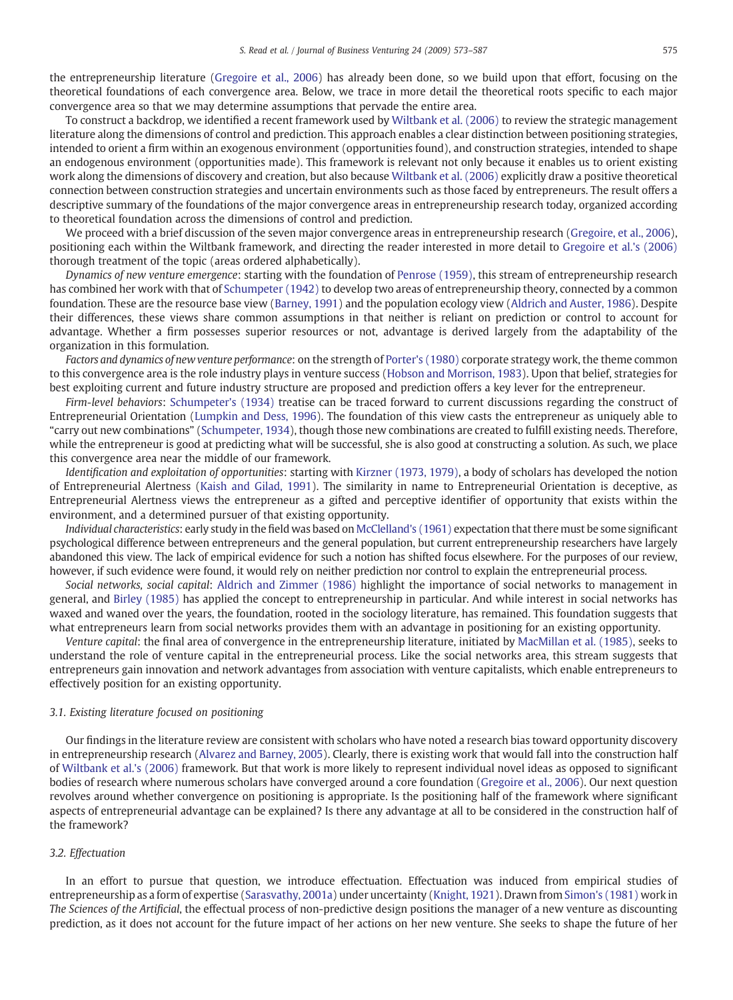the entrepreneurship literature ([Gregoire et al., 2006](#page-13-0)) has already been done, so we build upon that effort, focusing on the theoretical foundations of each convergence area. Below, we trace in more detail the theoretical roots specific to each major convergence area so that we may determine assumptions that pervade the entire area.

To construct a backdrop, we identified a recent framework used by [Wiltbank et al. \(2006\)](#page-14-0) to review the strategic management literature along the dimensions of control and prediction. This approach enables a clear distinction between positioning strategies, intended to orient a firm within an exogenous environment (opportunities found), and construction strategies, intended to shape an endogenous environment (opportunities made). This framework is relevant not only because it enables us to orient existing work along the dimensions of discovery and creation, but also because [Wiltbank et al. \(2006\)](#page-14-0) explicitly draw a positive theoretical connection between construction strategies and uncertain environments such as those faced by entrepreneurs. The result offers a descriptive summary of the foundations of the major convergence areas in entrepreneurship research today, organized according to theoretical foundation across the dimensions of control and prediction.

We proceed with a brief discussion of the seven major convergence areas in entrepreneurship research ([Gregoire, et al., 2006\)](#page-13-0), positioning each within the Wiltbank framework, and directing the reader interested in more detail to [Gregoire et al.'s \(2006\)](#page-13-0) thorough treatment of the topic (areas ordered alphabetically).

Dynamics of new venture emergence: starting with the foundation of [Penrose \(1959\)](#page-14-0), this stream of entrepreneurship research has combined her work with that of [Schumpeter \(1942\)](#page-14-0) to develop two areas of entrepreneurship theory, connected by a common foundation. These are the resource base view [\(Barney, 1991](#page-13-0)) and the population ecology view ([Aldrich and Auster, 1986\)](#page-12-0). Despite their differences, these views share common assumptions in that neither is reliant on prediction or control to account for advantage. Whether a firm possesses superior resources or not, advantage is derived largely from the adaptability of the organization in this formulation.

Factors and dynamics of new venture performance: on the strength of [Porter's \(1980\)](#page-14-0) corporate strategy work, the theme common to this convergence area is the role industry plays in venture success [\(Hobson and Morrison, 1983](#page-13-0)). Upon that belief, strategies for best exploiting current and future industry structure are proposed and prediction offers a key lever for the entrepreneur.

Firm-level behaviors: [Schumpeter's \(1934\)](#page-14-0) treatise can be traced forward to current discussions regarding the construct of Entrepreneurial Orientation ([Lumpkin and Dess, 1996\)](#page-14-0). The foundation of this view casts the entrepreneur as uniquely able to "carry out new combinations" [\(Schumpeter, 1934](#page-14-0)), though those new combinations are created to fulfill existing needs. Therefore, while the entrepreneur is good at predicting what will be successful, she is also good at constructing a solution. As such, we place this convergence area near the middle of our framework.

Identification and exploitation of opportunities: starting with [Kirzner \(1973, 1979\)](#page-13-0), a body of scholars has developed the notion of Entrepreneurial Alertness ([Kaish and Gilad, 1991](#page-13-0)). The similarity in name to Entrepreneurial Orientation is deceptive, as Entrepreneurial Alertness views the entrepreneur as a gifted and perceptive identifier of opportunity that exists within the environment, and a determined pursuer of that existing opportunity.

Individual characteristics: early study in the field was based on [McClelland's \(1961\)](#page-14-0) expectation that there must be some significant psychological difference between entrepreneurs and the general population, but current entrepreneurship researchers have largely abandoned this view. The lack of empirical evidence for such a notion has shifted focus elsewhere. For the purposes of our review, however, if such evidence were found, it would rely on neither prediction nor control to explain the entrepreneurial process.

Social networks, social capital: [Aldrich and Zimmer \(1986\)](#page-12-0) highlight the importance of social networks to management in general, and [Birley \(1985\)](#page-13-0) has applied the concept to entrepreneurship in particular. And while interest in social networks has waxed and waned over the years, the foundation, rooted in the sociology literature, has remained. This foundation suggests that what entrepreneurs learn from social networks provides them with an advantage in positioning for an existing opportunity.

Venture capital: the final area of convergence in the entrepreneurship literature, initiated by [MacMillan et al. \(1985\),](#page-14-0) seeks to understand the role of venture capital in the entrepreneurial process. Like the social networks area, this stream suggests that entrepreneurs gain innovation and network advantages from association with venture capitalists, which enable entrepreneurs to effectively position for an existing opportunity.

#### 3.1. Existing literature focused on positioning

Our findings in the literature review are consistent with scholars who have noted a research bias toward opportunity discovery in entrepreneurship research ([Alvarez and Barney, 2005\)](#page-12-0). Clearly, there is existing work that would fall into the construction half of [Wiltbank et al.'s \(2006\)](#page-14-0) framework. But that work is more likely to represent individual novel ideas as opposed to significant bodies of research where numerous scholars have converged around a core foundation [\(Gregoire et al., 2006](#page-13-0)). Our next question revolves around whether convergence on positioning is appropriate. Is the positioning half of the framework where significant aspects of entrepreneurial advantage can be explained? Is there any advantage at all to be considered in the construction half of the framework?

# 3.2. Effectuation

In an effort to pursue that question, we introduce effectuation. Effectuation was induced from empirical studies of entrepreneurship as a form of expertise [\(Sarasvathy, 2001a](#page-14-0)) under uncertainty ([Knight, 1921\)](#page-13-0). Drawn from [Simon's \(1981\)](#page-14-0) work in The Sciences of the Artificial, the effectual process of non-predictive design positions the manager of a new venture as discounting prediction, as it does not account for the future impact of her actions on her new venture. She seeks to shape the future of her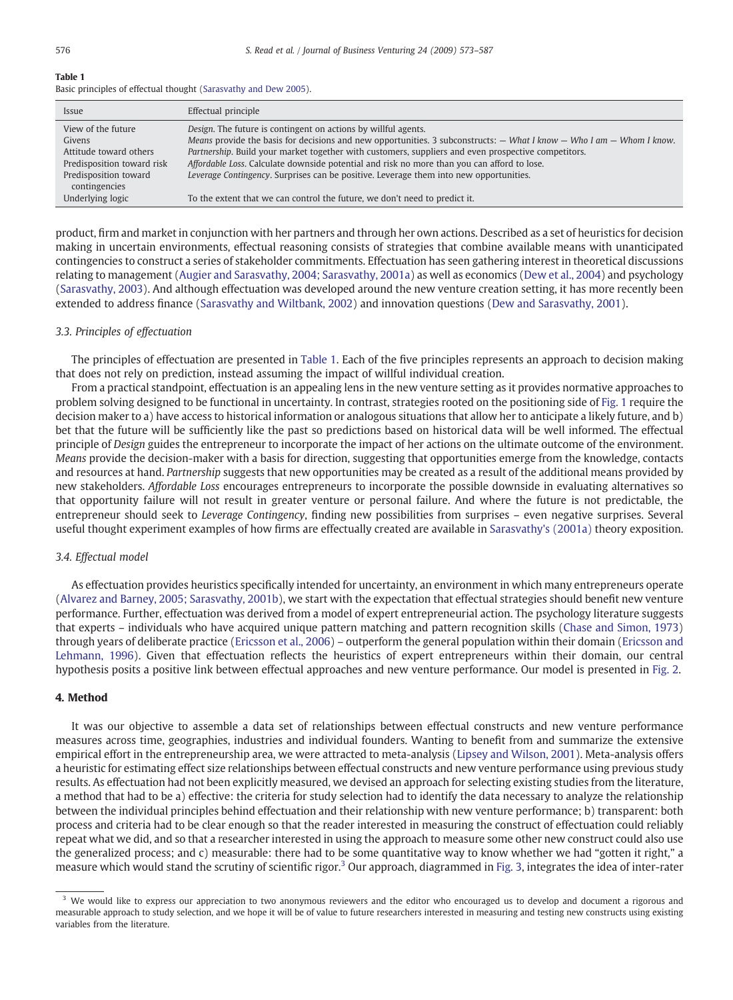#### <span id="page-3-0"></span>Table 1

Basic principles of effectual thought ([Sarasvathy and Dew 2005\)](#page-14-0).

| Issue                                  | Effectual principle                                                                                                         |
|----------------------------------------|-----------------------------------------------------------------------------------------------------------------------------|
| View of the future                     | Design. The future is contingent on actions by willful agents.                                                              |
| Givens                                 | Means provide the basis for decisions and new opportunities. 3 subconstructs: $-$ What I know $-$ Who I am $-$ Whom I know. |
| Attitude toward others                 | Partnership. Build your market together with customers, suppliers and even prospective competitors.                         |
| Predisposition toward risk             | Affordable Loss. Calculate downside potential and risk no more than you can afford to lose.                                 |
| Predisposition toward<br>contingencies | Leverage Contingency. Surprises can be positive. Leverage them into new opportunities.                                      |
| Underlying logic                       | To the extent that we can control the future, we don't need to predict it.                                                  |

product, firm and market in conjunction with her partners and through her own actions. Described as a set of heuristics for decision making in uncertain environments, effectual reasoning consists of strategies that combine available means with unanticipated contingencies to construct a series of stakeholder commitments. Effectuation has seen gathering interest in theoretical discussions relating to management [\(Augier and Sarasvathy, 2004; Sarasvathy, 2001a\)](#page-12-0) as well as economics [\(Dew et al., 2004](#page-13-0)) and psychology ([Sarasvathy, 2003](#page-14-0)). And although effectuation was developed around the new venture creation setting, it has more recently been extended to address finance ([Sarasvathy and Wiltbank, 2002\)](#page-14-0) and innovation questions [\(Dew and Sarasvathy, 2001](#page-13-0)).

# 3.3. Principles of effectuation

The principles of effectuation are presented in Table 1. Each of the five principles represents an approach to decision making that does not rely on prediction, instead assuming the impact of willful individual creation.

From a practical standpoint, effectuation is an appealing lens in the new venture setting as it provides normative approaches to problem solving designed to be functional in uncertainty. In contrast, strategies rooted on the positioning side of [Fig. 1](#page-4-0) require the decision maker to a) have access to historical information or analogous situations that allow her to anticipate a likely future, and b) bet that the future will be sufficiently like the past so predictions based on historical data will be well informed. The effectual principle of Design guides the entrepreneur to incorporate the impact of her actions on the ultimate outcome of the environment. Means provide the decision-maker with a basis for direction, suggesting that opportunities emerge from the knowledge, contacts and resources at hand. Partnership suggests that new opportunities may be created as a result of the additional means provided by new stakeholders. Affordable Loss encourages entrepreneurs to incorporate the possible downside in evaluating alternatives so that opportunity failure will not result in greater venture or personal failure. And where the future is not predictable, the entrepreneur should seek to Leverage Contingency, finding new possibilities from surprises – even negative surprises. Several useful thought experiment examples of how firms are effectually created are available in [Sarasvathy's \(2001a\)](#page-14-0) theory exposition.

#### 3.4. Effectual model

As effectuation provides heuristics specifically intended for uncertainty, an environment in which many entrepreneurs operate ([Alvarez and Barney, 2005; Sarasvathy, 2001b\)](#page-12-0), we start with the expectation that effectual strategies should benefit new venture performance. Further, effectuation was derived from a model of expert entrepreneurial action. The psychology literature suggests that experts – individuals who have acquired unique pattern matching and pattern recognition skills [\(Chase and Simon, 1973\)](#page-13-0) through years of deliberate practice ([Ericsson et al., 2006](#page-13-0)) – outperform the general population within their domain [\(Ericsson and](#page-13-0) [Lehmann, 1996](#page-13-0)). Given that effectuation reflects the heuristics of expert entrepreneurs within their domain, our central hypothesis posits a positive link between effectual approaches and new venture performance. Our model is presented in [Fig. 2.](#page-4-0)

# 4. Method

It was our objective to assemble a data set of relationships between effectual constructs and new venture performance measures across time, geographies, industries and individual founders. Wanting to benefit from and summarize the extensive empirical effort in the entrepreneurship area, we were attracted to meta-analysis [\(Lipsey and Wilson, 2001](#page-14-0)). Meta-analysis offers a heuristic for estimating effect size relationships between effectual constructs and new venture performance using previous study results. As effectuation had not been explicitly measured, we devised an approach for selecting existing studies from the literature, a method that had to be a) effective: the criteria for study selection had to identify the data necessary to analyze the relationship between the individual principles behind effectuation and their relationship with new venture performance; b) transparent: both process and criteria had to be clear enough so that the reader interested in measuring the construct of effectuation could reliably repeat what we did, and so that a researcher interested in using the approach to measure some other new construct could also use the generalized process; and c) measurable: there had to be some quantitative way to know whether we had "gotten it right," a measure which would stand the scrutiny of scientific rigor.<sup>3</sup> Our approach, diagrammed in [Fig. 3](#page-5-0), integrates the idea of inter-rater

<sup>&</sup>lt;sup>3</sup> We would like to express our appreciation to two anonymous reviewers and the editor who encouraged us to develop and document a rigorous and measurable approach to study selection, and we hope it will be of value to future researchers interested in measuring and testing new constructs using existing variables from the literature.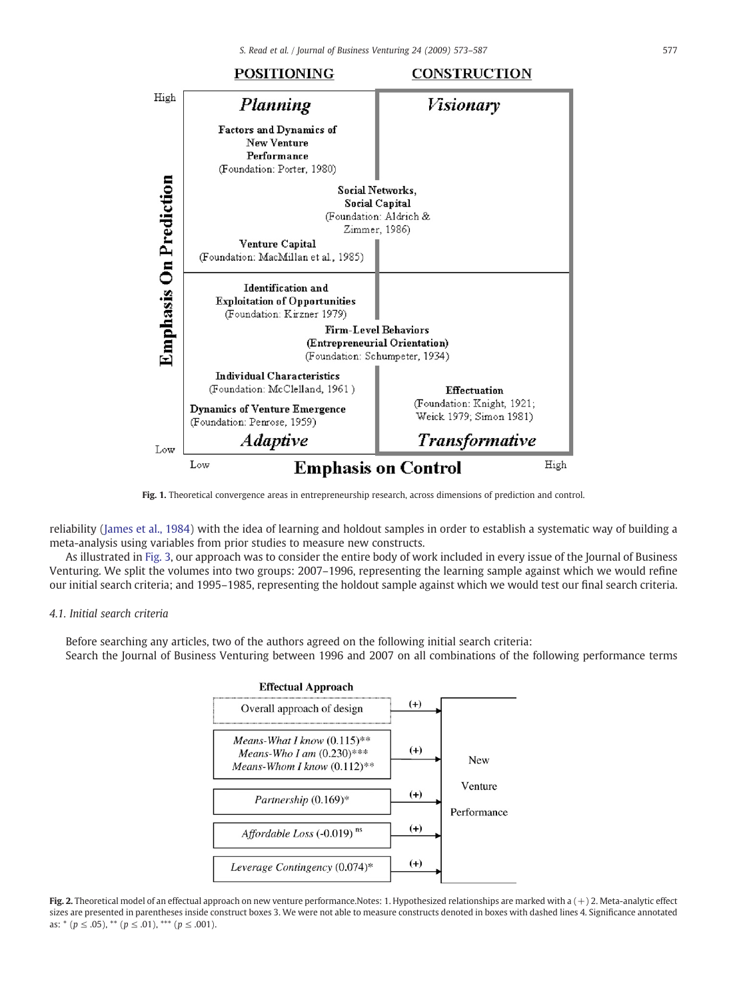S. Read et al. / Journal of Business Venturing 24 (2009) 573–587 577

<span id="page-4-0"></span>

Fig. 1. Theoretical convergence areas in entrepreneurship research, across dimensions of prediction and control.

reliability [\(James et al., 1984\)](#page-13-0) with the idea of learning and holdout samples in order to establish a systematic way of building a meta-analysis using variables from prior studies to measure new constructs.

As illustrated in [Fig. 3,](#page-5-0) our approach was to consider the entire body of work included in every issue of the Journal of Business Venturing. We split the volumes into two groups: 2007–1996, representing the learning sample against which we would refine our initial search criteria; and 1995–1985, representing the holdout sample against which we would test our final search criteria.

# 4.1. Initial search criteria

Before searching any articles, two of the authors agreed on the following initial search criteria:

Search the Journal of Business Venturing between 1996 and 2007 on all combinations of the following performance terms



Fig. 2. Theoretical model of an effectual approach on new venture performance.Notes: 1. Hypothesized relationships are marked with a  $(+)$  2. Meta-analytic effect sizes are presented in parentheses inside construct boxes 3. We were not able to measure constructs denoted in boxes with dashed lines 4. Significance annotated as: \* ( $p \leq .05$ ), \*\* ( $p \leq .01$ ), \*\*\* ( $p \leq .001$ ).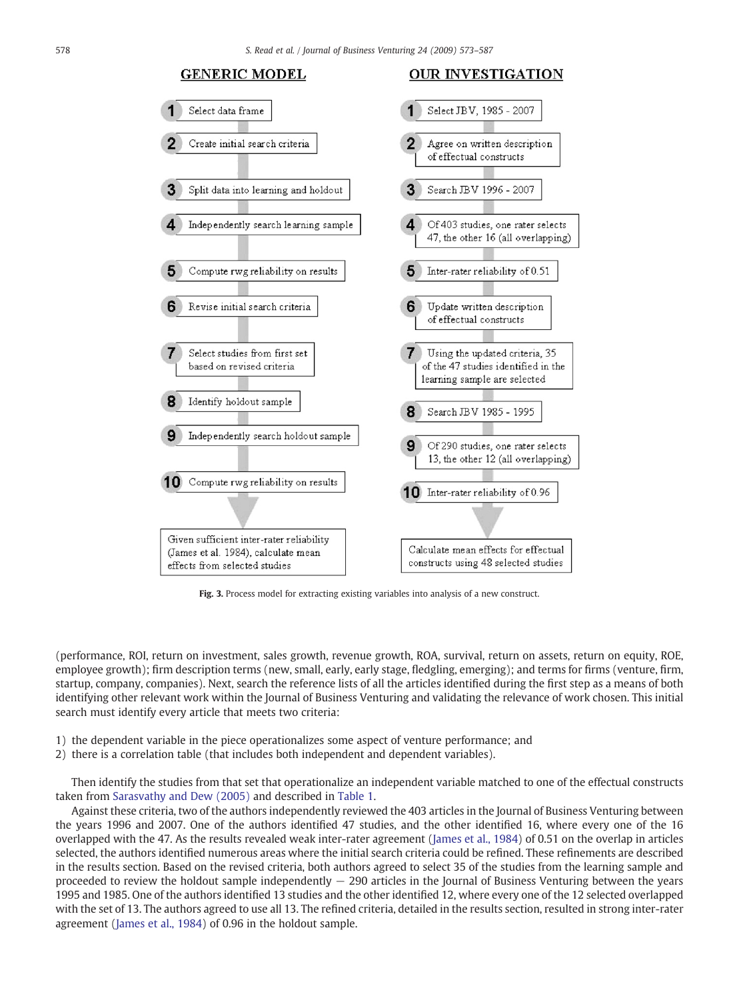<span id="page-5-0"></span>

Fig. 3. Process model for extracting existing variables into analysis of a new construct.

(performance, ROI, return on investment, sales growth, revenue growth, ROA, survival, return on assets, return on equity, ROE, employee growth); firm description terms (new, small, early, early stage, fledgling, emerging); and terms for firms (venture, firm, startup, company, companies). Next, search the reference lists of all the articles identified during the first step as a means of both identifying other relevant work within the Journal of Business Venturing and validating the relevance of work chosen. This initial search must identify every article that meets two criteria:

- 1) the dependent variable in the piece operationalizes some aspect of venture performance; and
- 2) there is a correlation table (that includes both independent and dependent variables).

Then identify the studies from that set that operationalize an independent variable matched to one of the effectual constructs taken from [Sarasvathy and Dew \(2005\)](#page-14-0) and described in [Table 1](#page-3-0).

Against these criteria, two of the authors independently reviewed the 403 articles in the Journal of Business Venturing between the years 1996 and 2007. One of the authors identified 47 studies, and the other identified 16, where every one of the 16 overlapped with the 47. As the results revealed weak inter-rater agreement [\(James et al., 1984\)](#page-13-0) of 0.51 on the overlap in articles selected, the authors identified numerous areas where the initial search criteria could be refined. These refinements are described in the results section. Based on the revised criteria, both authors agreed to select 35 of the studies from the learning sample and proceeded to review the holdout sample independently − 290 articles in the Journal of Business Venturing between the years 1995 and 1985. One of the authors identified 13 studies and the other identified 12, where every one of the 12 selected overlapped with the set of 13. The authors agreed to use all 13. The refined criteria, detailed in the results section, resulted in strong inter-rater agreement [\(James et al., 1984\)](#page-13-0) of 0.96 in the holdout sample.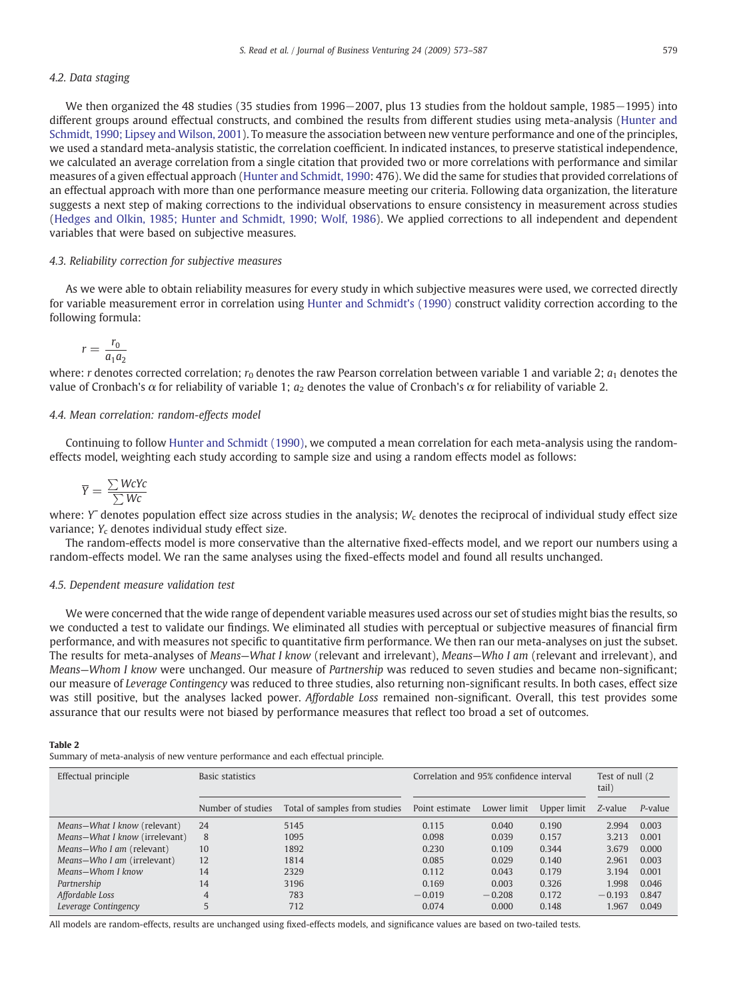# <span id="page-6-0"></span>4.2. Data staging

We then organized the 48 studies (35 studies from 1996−2007, plus 13 studies from the holdout sample, 1985−1995) into different groups around effectual constructs, and combined the results from different studies using meta-analysis [\(Hunter and](#page-13-0) [Schmidt, 1990; Lipsey and Wilson, 2001\)](#page-13-0). To measure the association between new venture performance and one of the principles, we used a standard meta-analysis statistic, the correlation coefficient. In indicated instances, to preserve statistical independence, we calculated an average correlation from a single citation that provided two or more correlations with performance and similar measures of a given effectual approach ([Hunter and Schmidt, 1990:](#page-13-0) 476). We did the same for studies that provided correlations of an effectual approach with more than one performance measure meeting our criteria. Following data organization, the literature suggests a next step of making corrections to the individual observations to ensure consistency in measurement across studies [\(Hedges and Olkin, 1985; Hunter and Schmidt, 1990; Wolf, 1986](#page-13-0)). We applied corrections to all independent and dependent variables that were based on subjective measures.

# 4.3. Reliability correction for subjective measures

As we were able to obtain reliability measures for every study in which subjective measures were used, we corrected directly for variable measurement error in correlation using [Hunter and Schmidt's \(1990\)](#page-13-0) construct validity correction according to the following formula:

$$
r = \frac{r_0}{a_1 a_2}
$$

where: r denotes corrected correlation;  $r_0$  denotes the raw Pearson correlation between variable 1 and variable 2;  $a_1$  denotes the value of Cronbach's  $\alpha$  for reliability of variable 1;  $a_2$  denotes the value of Cronbach's  $\alpha$  for reliability of variable 2.

# 4.4. Mean correlation: random-effects model

Continuing to follow [Hunter and Schmidt \(1990\)](#page-13-0), we computed a mean correlation for each meta-analysis using the randomeffects model, weighting each study according to sample size and using a random effects model as follows:

$$
\overline{Y} = \frac{\sum WCYc}{\sum WC}
$$

where: Y denotes population effect size across studies in the analysis;  $W_c$  denotes the reciprocal of individual study effect size variance;  $Y_c$  denotes individual study effect size.

The random-effects model is more conservative than the alternative fixed-effects model, and we report our numbers using a random-effects model. We ran the same analyses using the fixed-effects model and found all results unchanged.

#### 4.5. Dependent measure validation test

We were concerned that the wide range of dependent variable measures used across our set of studies might bias the results, so we conducted a test to validate our findings. We eliminated all studies with perceptual or subjective measures of financial firm performance, and with measures not specific to quantitative firm performance. We then ran our meta-analyses on just the subset. The results for meta-analyses of Means—What I know (relevant and irrelevant), Means—Who I am (relevant and irrelevant), and Means—Whom I know were unchanged. Our measure of Partnership was reduced to seven studies and became non-significant; our measure of Leverage Contingency was reduced to three studies, also returning non-significant results. In both cases, effect size was still positive, but the analyses lacked power. Affordable Loss remained non-significant. Overall, this test provides some assurance that our results were not biased by performance measures that reflect too broad a set of outcomes.

#### Table 2

Summary of meta-analysis of new venture performance and each effectual principle.

| Effectual principle            | Basic statistics  |                               | Correlation and 95% confidence interval |             |             | Test of null (2)<br>tail) |         |
|--------------------------------|-------------------|-------------------------------|-----------------------------------------|-------------|-------------|---------------------------|---------|
|                                | Number of studies | Total of samples from studies | Point estimate                          | Lower limit | Upper limit | Z-value                   | P-value |
| Means-What I know (relevant)   | 24                | 5145                          | 0.115                                   | 0.040       | 0.190       | 2.994                     | 0.003   |
| Means-What I know (irrelevant) | 8                 | 1095                          | 0.098                                   | 0.039       | 0.157       | 3.213                     | 0.001   |
| Means-Who I am (relevant)      | 10                | 1892                          | 0.230                                   | 0.109       | 0.344       | 3.679                     | 0.000   |
| Means-Who I am (irrelevant)    | 12                | 1814                          | 0.085                                   | 0.029       | 0.140       | 2.961                     | 0.003   |
| Means-Whom I know              | 14                | 2329                          | 0.112                                   | 0.043       | 0.179       | 3.194                     | 0.001   |
| Partnership                    | 14                | 3196                          | 0.169                                   | 0.003       | 0.326       | 1.998                     | 0.046   |
| Affordable Loss                | 4                 | 783                           | $-0.019$                                | $-0.208$    | 0.172       | $-0.193$                  | 0.847   |
| Leverage Contingency           |                   | 712                           | 0.074                                   | 0.000       | 0.148       | 1.967                     | 0.049   |

All models are random-effects, results are unchanged using fixed-effects models, and significance values are based on two-tailed tests.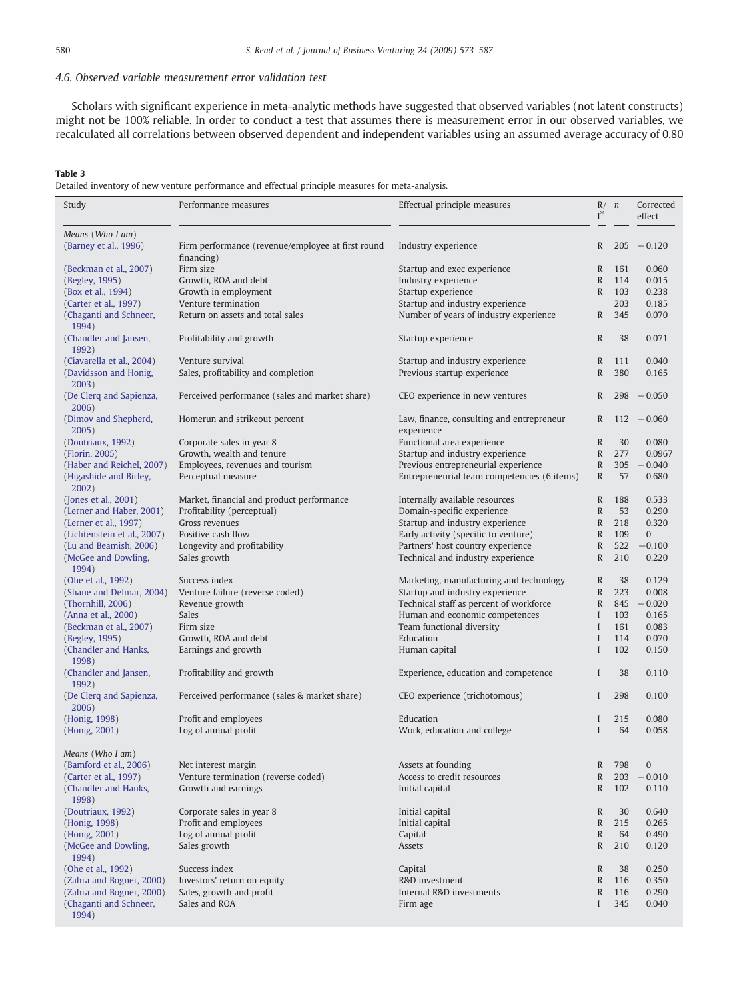# <span id="page-7-0"></span>4.6. Observed variable measurement error validation test

Scholars with significant experience in meta-analytic methods have suggested that observed variables (not latent constructs) might not be 100% reliable. In order to conduct a test that assumes there is measurement error in our observed variables, we recalculated all correlations between observed dependent and independent variables using an assumed average accuracy of 0.80

# Table 3

Detailed inventory of new venture performance and effectual principle measures for meta-analysis.

| Study                                     | Performance measures                                            | Effectual principle measures                            |              | R/ n | Corrected<br>effect |
|-------------------------------------------|-----------------------------------------------------------------|---------------------------------------------------------|--------------|------|---------------------|
| Means (Who I am)<br>(Barney et al., 1996) | Firm performance (revenue/employee at first round<br>financing) | Industry experience                                     | R            | 205  | $-0.120$            |
| (Beckman et al., 2007)                    | Firm size                                                       | Startup and exec experience                             | R            | 161  | 0.060               |
| (Begley, 1995)                            | Growth, ROA and debt                                            | Industry experience                                     | R            | 114  | 0.015               |
| (Box et al., 1994)                        | Growth in employment                                            | Startup experience                                      | R            | 103  | 0.238               |
| (Carter et al., 1997)                     | Venture termination                                             | Startup and industry experience                         |              | 203  | 0.185               |
| (Chaganti and Schneer,<br>1994)           | Return on assets and total sales                                | Number of years of industry experience                  | R            | 345  | 0.070               |
| (Chandler and Jansen,<br>1992)            | Profitability and growth                                        | Startup experience                                      | $\mathbb R$  | 38   | 0.071               |
| (Ciavarella et al., 2004)                 | Venture survival                                                | Startup and industry experience                         | R            | 111  | 0.040               |
| (Davidsson and Honig,<br>2003)            | Sales, profitability and completion                             | Previous startup experience                             | $\mathbb R$  | 380  | 0.165               |
| (De Clerq and Sapienza,<br>2006)          | Perceived performance (sales and market share)                  | CEO experience in new ventures                          | R            | 298  | $-0.050$            |
| (Dimov and Shepherd,<br>2005)             | Homerun and strikeout percent                                   | Law, finance, consulting and entrepreneur<br>experience | R            | 112  | $-0.060$            |
| (Doutriaux, 1992)                         | Corporate sales in year 8                                       | Functional area experience                              | $\mathbb{R}$ | 30   | 0.080               |
| (Florin, 2005)                            | Growth, wealth and tenure                                       | Startup and industry experience                         | $\mathbb R$  | 277  | 0.0967              |
| (Haber and Reichel, 2007)                 | Employees, revenues and tourism                                 | Previous entrepreneurial experience                     | R            | 305  | $-0.040$            |
| (Higashide and Birley,<br>2002)           | Perceptual measure                                              | Entrepreneurial team competencies (6 items)             | R            | 57   | 0.680               |
| (Jones et al., 2001)                      | Market, financial and product performance                       | Internally available resources                          | $\mathbb{R}$ | 188  | 0.533               |
| (Lerner and Haber, 2001)                  | Profitability (perceptual)                                      | Domain-specific experience                              | $\mathbb R$  | 53   | 0.290               |
| (Lerner et al., 1997)                     | Gross revenues                                                  | Startup and industry experience                         | R            | 218  | 0.320               |
| (Lichtenstein et al., 2007)               | Positive cash flow                                              | Early activity (specific to venture)                    | $\mathbb R$  | 109  | $\mathbf{0}$        |
| (Lu and Beamish, 2006)                    | Longevity and profitability                                     | Partners' host country experience                       | $\mathbb R$  | 522  | $-0.100$            |
| (McGee and Dowling,<br>1994)              | Sales growth                                                    | Technical and industry experience                       | $\mathbb{R}$ | 210  | 0.220               |
| (Ohe et al., 1992)                        | Success index                                                   | Marketing, manufacturing and technology                 | R            | 38   | 0.129               |
| (Shane and Delmar, 2004)                  | Venture failure (reverse coded)                                 | Startup and industry experience                         | $\mathbb R$  | 223  | 0.008               |
| (Thornhill, 2006)                         | Revenue growth                                                  | Technical staff as percent of workforce                 | $\mathbb R$  | 845  | $-0.020$            |
| (Anna et al., 2000)                       | Sales                                                           | Human and economic competences                          | $\mathbf{I}$ | 103  | 0.165               |
| (Beckman et al., 2007)                    | Firm size                                                       | Team functional diversity                               | $\bf{I}$     | 161  | 0.083               |
| (Begley, 1995)                            | Growth, ROA and debt                                            | Education                                               | $\mathbf I$  | 114  | 0.070               |
| (Chandler and Hanks,<br>1998)             | Earnings and growth                                             | Human capital                                           | $\mathbf{I}$ | 102  | 0.150               |
| (Chandler and Jansen,<br>1992)            | Profitability and growth                                        | Experience, education and competence                    | $\bf{I}$     | 38   | 0.110               |
| (De Clerq and Sapienza,<br>2006)          | Perceived performance (sales & market share)                    | CEO experience (trichotomous)                           | I            | 298  | 0.100               |
| (Honig, 1998)                             | Profit and employees                                            | Education                                               | I            | 215  | 0.080               |
| (Honig, 2001)                             | Log of annual profit                                            | Work, education and college                             | I            | 64   | 0.058               |
| Means (Who I am)                          |                                                                 |                                                         |              |      |                     |
| (Bamford et al., 2006)                    | Net interest margin                                             | Assets at founding                                      | R            | 798  | $\boldsymbol{0}$    |
| (Carter et al., 1997)                     | Venture termination (reverse coded)                             | Access to credit resources                              | R            | 203  | $-0.010$            |
| (Chandler and Hanks,<br>1998)             | Growth and earnings                                             | Initial capital                                         | R            | 102  | 0.110               |
| (Doutriaux, 1992)                         | Corporate sales in year 8                                       | Initial capital                                         | R            | 30   | 0.640               |
| (Honig, 1998)                             | Profit and employees                                            | Initial capital                                         | R            | 215  | 0.265               |
| (Honig, 2001)                             | Log of annual profit                                            | Capital                                                 | R            | 64   | 0.490               |
| (McGee and Dowling,<br>1994)              | Sales growth                                                    | Assets                                                  | R            | 210  | 0.120               |
| (Ohe et al., 1992)                        | Success index                                                   | Capital                                                 | R            | 38   | 0.250               |
| (Zahra and Bogner, 2000)                  | Investors' return on equity                                     | R&D investment                                          | $\mathbb R$  | 116  | 0.350               |
| (Zahra and Bogner, 2000)                  | Sales, growth and profit                                        | Internal R&D investments                                | R            | 116  | 0.290               |
| (Chaganti and Schneer,<br>1994)           | Sales and ROA                                                   | Firm age                                                | I            | 345  | 0.040               |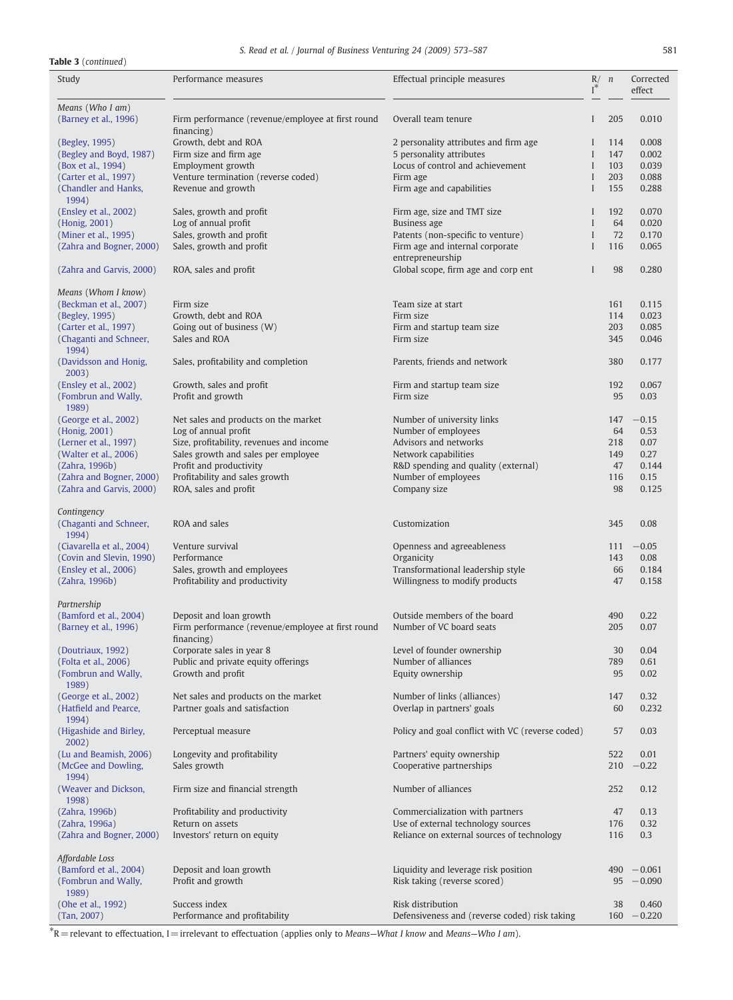# Table 3 (continued)

| $\sim$ (continuou)                    |                                                                 |                                                          |              |                  |                     |
|---------------------------------------|-----------------------------------------------------------------|----------------------------------------------------------|--------------|------------------|---------------------|
| Study                                 | Performance measures                                            | Effectual principle measures                             | R/<br>$I^*$  | $\boldsymbol{n}$ | Corrected<br>effect |
| Means (Who I am)                      |                                                                 |                                                          |              |                  |                     |
| (Barney et al., 1996)                 | Firm performance (revenue/employee at first round<br>financing) | Overall team tenure                                      | $\mathbf{I}$ | 205              | 0.010               |
| (Begley, 1995)                        | Growth, debt and ROA                                            | 2 personality attributes and firm age                    | $\bf{I}$     | 114              | 0.008               |
| (Begley and Boyd, 1987)               | Firm size and firm age                                          | 5 personality attributes                                 | I            | 147              | 0.002               |
| (Box et al., 1994)                    | Employment growth                                               | Locus of control and achievement                         | I            | 103              | 0.039               |
| (Carter et al., 1997)                 | Venture termination (reverse coded)                             | Firm age                                                 | I            | 203              | 0.088               |
| (Chandler and Hanks,<br>1994)         | Revenue and growth                                              | Firm age and capabilities                                | $\mathbf{I}$ | 155              | 0.288               |
| (Ensley et al., 2002)                 | Sales, growth and profit                                        | Firm age, size and TMT size                              | $\bf{I}$     | 192              | 0.070               |
| (Honig, 2001)<br>(Miner et al., 1995) | Log of annual profit<br>Sales, growth and profit                | <b>Business</b> age<br>Patents (non-specific to venture) | I<br>I       | 64<br>72         | 0.020<br>0.170      |
| (Zahra and Bogner, 2000)              | Sales, growth and profit                                        | Firm age and internal corporate                          | I            | 116              | 0.065               |
|                                       |                                                                 | entrepreneurship                                         |              |                  |                     |
| (Zahra and Garvis, 2000)              | ROA, sales and profit                                           | Global scope, firm age and corp ent                      | $\mathbf{I}$ | 98               | 0.280               |
| Means (Whom I know)                   |                                                                 |                                                          |              |                  |                     |
| (Beckman et al., 2007)                | Firm size                                                       | Team size at start                                       |              | 161              | 0.115               |
| (Begley, 1995)                        | Growth, debt and ROA                                            | Firm size                                                |              | 114              | 0.023               |
| (Carter et al., 1997)                 | Going out of business (W)                                       | Firm and startup team size                               |              | 203              | 0.085               |
| (Chaganti and Schneer,<br>1994)       | Sales and ROA                                                   | Firm size                                                |              | 345              | 0.046               |
| (Davidsson and Honig,<br>2003)        | Sales, profitability and completion                             | Parents, friends and network                             |              | 380              | 0.177               |
| (Ensley et al., 2002)                 | Growth, sales and profit                                        | Firm and startup team size                               |              | 192              | 0.067               |
| (Fombrun and Wally,<br>1989)          | Profit and growth                                               | Firm size                                                |              | 95               | 0.03                |
| (George et al., 2002)                 | Net sales and products on the market                            | Number of university links                               |              | 147              | $-0.15$             |
| (Honig, 2001)                         | Log of annual profit                                            | Number of employees                                      |              | 64               | 0.53                |
| (Lerner et al., 1997)                 | Size, profitability, revenues and income                        | Advisors and networks                                    |              | 218              | 0.07                |
| (Walter et al., 2006)                 | Sales growth and sales per employee                             | Network capabilities                                     |              | 149              | 0.27                |
| (Zahra, 1996b)                        | Profit and productivity                                         | R&D spending and quality (external)                      |              | 47               | 0.144               |
| (Zahra and Bogner, 2000)              | Profitability and sales growth                                  | Number of employees                                      |              | 116              | 0.15                |
| (Zahra and Garvis, 2000)              | ROA, sales and profit                                           | Company size                                             |              | 98               | 0.125               |
| Contingency                           |                                                                 |                                                          |              |                  |                     |
| (Chaganti and Schneer,<br>1994)       | ROA and sales                                                   | Customization                                            |              | 345              | 0.08                |
| (Ciavarella et al., 2004)             | Venture survival                                                | Openness and agreeableness                               |              | 111              | $-0.05$             |
| (Covin and Slevin, 1990)              | Performance                                                     | Organicity                                               |              | 143              | 0.08                |
| (Ensley et al., 2006)                 | Sales, growth and employees                                     | Transformational leadership style                        |              | 66               | 0.184               |
| (Zahra, 1996b)                        | Profitability and productivity                                  | Willingness to modify products                           |              | 47               | 0.158               |
| Partnership                           |                                                                 |                                                          |              |                  |                     |
| (Bamford et al., 2004)                | Deposit and loan growth                                         | Outside members of the board                             |              | 490              | 0.22                |
| (Barney et al., 1996)                 | Firm performance (revenue/employee at first round<br>financing) | Number of VC board seats                                 |              | 205              | 0.07                |
| (Doutriaux, 1992)                     | Corporate sales in year 8                                       | Level of founder ownership                               |              | 30               | 0.04                |
| (Folta et al., 2006)                  | Public and private equity offerings                             | Number of alliances                                      |              | 789              | 0.61                |
| (Fombrun and Wally,<br>1989)          | Growth and profit                                               | Equity ownership                                         |              | 95               | 0.02                |
| (George et al., 2002)                 | Net sales and products on the market                            | Number of links (alliances)                              |              | 147              | 0.32                |
| (Hatfield and Pearce,<br>1994)        | Partner goals and satisfaction                                  | Overlap in partners' goals                               |              | 60               | 0.232               |
| (Higashide and Birley,<br>2002)       | Perceptual measure                                              | Policy and goal conflict with VC (reverse coded)         |              | 57               | 0.03                |
| (Lu and Beamish, 2006)                | Longevity and profitability                                     | Partners' equity ownership                               |              | 522              | 0.01                |
| (McGee and Dowling,<br>1994)          | Sales growth                                                    | Cooperative partnerships                                 |              | 210              | $-0.22$             |
| (Weaver and Dickson,<br>1998)         | Firm size and financial strength                                | Number of alliances                                      |              | 252              | 0.12                |
| (Zahra, 1996b)                        | Profitability and productivity                                  | Commercialization with partners                          |              | 47               | 0.13                |
| (Zahra, 1996a)                        | Return on assets                                                | Use of external technology sources                       |              | 176              | 0.32                |
| (Zahra and Bogner, 2000)              | Investors' return on equity                                     | Reliance on external sources of technology               |              | 116              | 0.3                 |
| Affordable Loss                       |                                                                 |                                                          |              |                  |                     |
| (Bamford et al., 2004)                | Deposit and loan growth                                         | Liquidity and leverage risk position                     |              | 490              | $-0.061$            |
| (Fombrun and Wally,<br>1989)          | Profit and growth                                               | Risk taking (reverse scored)                             |              | 95               | $-0.090$            |
| (Ohe et al., 1992)                    | Success index                                                   | Risk distribution                                        |              | 38               | 0.460               |
| (Tan, 2007)                           | Performance and profitability                                   | Defensiveness and (reverse coded) risk taking            |              | 160              | $-0.220$            |

 $\overline{R}$  relevant to effectuation, I = irrelevant to effectuation (applies only to Means—What I know and Means—Who I am).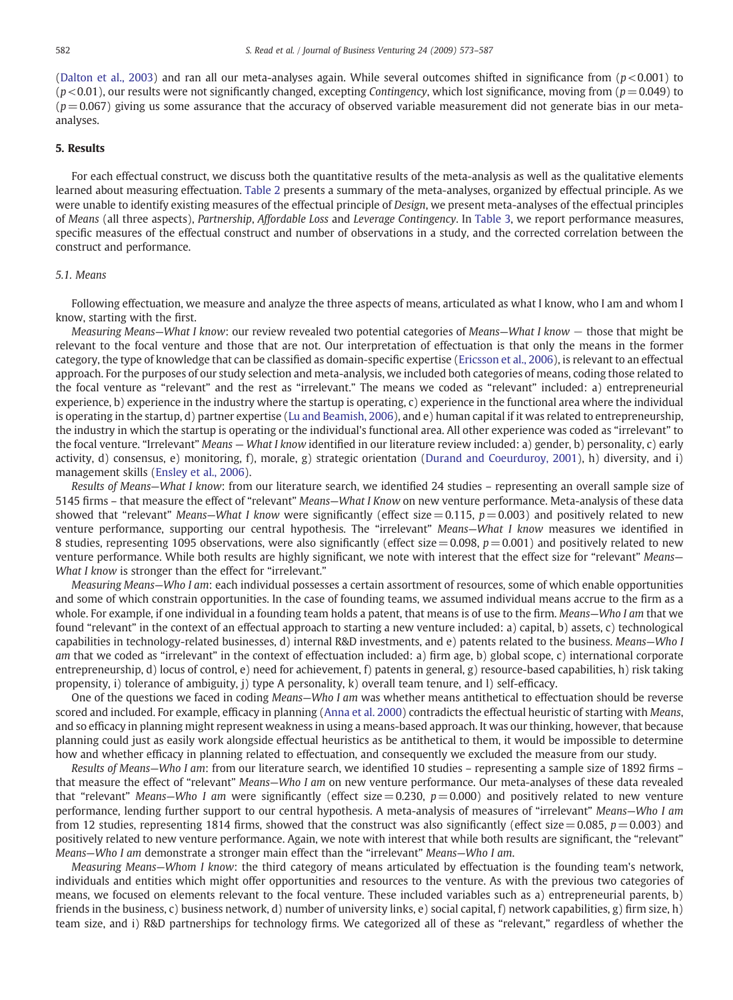([Dalton et al., 2003\)](#page-13-0) and ran all our meta-analyses again. While several outcomes shifted in significance from  $(p<0.001)$  to  $(p<0.01)$ , our results were not significantly changed, excepting Contingency, which lost significance, moving from  $(p= 0.049)$  to  $(p= 0.067)$  giving us some assurance that the accuracy of observed variable measurement did not generate bias in our metaanalyses.

# 5. Results

For each effectual construct, we discuss both the quantitative results of the meta-analysis as well as the qualitative elements learned about measuring effectuation. [Table 2](#page-6-0) presents a summary of the meta-analyses, organized by effectual principle. As we were unable to identify existing measures of the effectual principle of Design, we present meta-analyses of the effectual principles of Means (all three aspects), Partnership, Affordable Loss and Leverage Contingency. In [Table 3](#page-7-0), we report performance measures, specific measures of the effectual construct and number of observations in a study, and the corrected correlation between the construct and performance.

#### 5.1. Means

Following effectuation, we measure and analyze the three aspects of means, articulated as what I know, who I am and whom I know, starting with the first.

Measuring Means—What I know: our review revealed two potential categories of Means—What I know – those that might be relevant to the focal venture and those that are not. Our interpretation of effectuation is that only the means in the former category, the type of knowledge that can be classified as domain-specific expertise ([Ericsson et al., 2006\)](#page-13-0), is relevant to an effectual approach. For the purposes of our study selection and meta-analysis, we included both categories of means, coding those related to the focal venture as "relevant" and the rest as "irrelevant." The means we coded as "relevant" included: a) entrepreneurial experience, b) experience in the industry where the startup is operating, c) experience in the functional area where the individual is operating in the startup, d) partner expertise [\(Lu and Beamish, 2006](#page-14-0)), and e) human capital if it was related to entrepreneurship, the industry in which the startup is operating or the individual's functional area. All other experience was coded as "irrelevant" to the focal venture. "Irrelevant" Means — What I know identified in our literature review included: a) gender, b) personality, c) early activity, d) consensus, e) monitoring, f), morale, g) strategic orientation ([Durand and Coeurduroy, 2001\)](#page-13-0), h) diversity, and i) management skills ([Ensley et al., 2006\)](#page-13-0).

Results of Means—What I know: from our literature search, we identified 24 studies – representing an overall sample size of 5145 firms – that measure the effect of "relevant" Means—What I Know on new venture performance. Meta-analysis of these data showed that "relevant" Means–What I know were significantly (effect size = 0.115,  $p= 0.003$ ) and positively related to new venture performance, supporting our central hypothesis. The "irrelevant" Means—What I know measures we identified in 8 studies, representing 1095 observations, were also significantly (effect size  $= 0.098$ ,  $p = 0.001$ ) and positively related to new venture performance. While both results are highly significant, we note with interest that the effect size for "relevant" Means-What I know is stronger than the effect for "irrelevant."

Measuring Means—Who I am: each individual possesses a certain assortment of resources, some of which enable opportunities and some of which constrain opportunities. In the case of founding teams, we assumed individual means accrue to the firm as a whole. For example, if one individual in a founding team holds a patent, that means is of use to the firm. Means—Who I am that we found "relevant" in the context of an effectual approach to starting a new venture included: a) capital, b) assets, c) technological capabilities in technology-related businesses, d) internal R&D investments, and e) patents related to the business. Means—Who I am that we coded as "irrelevant" in the context of effectuation included: a) firm age, b) global scope, c) international corporate entrepreneurship, d) locus of control, e) need for achievement, f) patents in general, g) resource-based capabilities, h) risk taking propensity, i) tolerance of ambiguity, j) type A personality, k) overall team tenure, and l) self-efficacy.

One of the questions we faced in coding Means—Who I am was whether means antithetical to effectuation should be reverse scored and included. For example, efficacy in planning ([Anna et al. 2000](#page-12-0)) contradicts the effectual heuristic of starting with Means, and so efficacy in planning might represent weakness in using a means-based approach. It was our thinking, however, that because planning could just as easily work alongside effectual heuristics as be antithetical to them, it would be impossible to determine how and whether efficacy in planning related to effectuation, and consequently we excluded the measure from our study.

Results of Means—Who I am: from our literature search, we identified 10 studies – representing a sample size of 1892 firms – that measure the effect of "relevant" Means—Who I am on new venture performance. Our meta-analyses of these data revealed that "relevant" Means–Who I am were significantly (effect size = 0.230,  $p = 0.000$ ) and positively related to new venture performance, lending further support to our central hypothesis. A meta-analysis of measures of "irrelevant" Means—Who I am from 12 studies, representing 1814 firms, showed that the construct was also significantly (effect size = 0.085,  $p = 0.003$ ) and positively related to new venture performance. Again, we note with interest that while both results are significant, the "relevant" Means—Who I am demonstrate a stronger main effect than the "irrelevant" Means—Who I am.

Measuring Means—Whom I know: the third category of means articulated by effectuation is the founding team's network, individuals and entities which might offer opportunities and resources to the venture. As with the previous two categories of means, we focused on elements relevant to the focal venture. These included variables such as a) entrepreneurial parents, b) friends in the business, c) business network, d) number of university links, e) social capital, f) network capabilities, g) firm size, h) team size, and i) R&D partnerships for technology firms. We categorized all of these as "relevant," regardless of whether the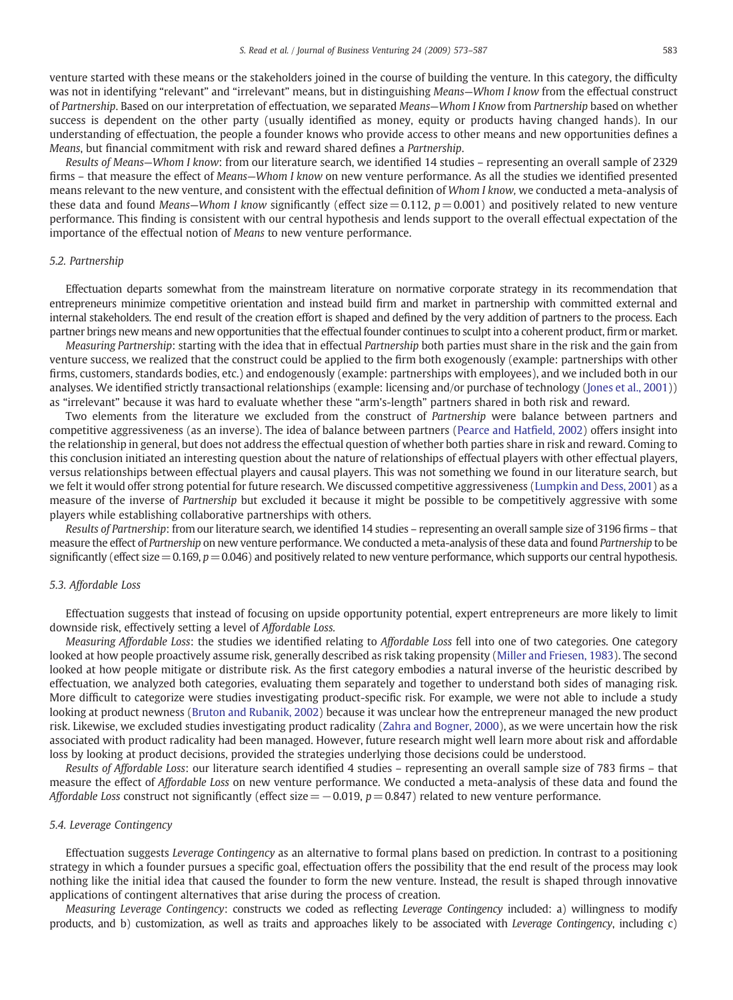venture started with these means or the stakeholders joined in the course of building the venture. In this category, the difficulty was not in identifying "relevant" and "irrelevant" means, but in distinguishing Means—Whom I know from the effectual construct of Partnership. Based on our interpretation of effectuation, we separated Means—Whom I Know from Partnership based on whether success is dependent on the other party (usually identified as money, equity or products having changed hands). In our understanding of effectuation, the people a founder knows who provide access to other means and new opportunities defines a Means, but financial commitment with risk and reward shared defines a Partnership.

Results of Means—Whom I know: from our literature search, we identified 14 studies – representing an overall sample of 2329 firms – that measure the effect of Means—Whom I know on new venture performance. As all the studies we identified presented means relevant to the new venture, and consistent with the effectual definition of Whom I know, we conducted a meta-analysis of these data and found Means—Whom I know significantly (effect size  $= 0.112$ ,  $p = 0.001$ ) and positively related to new venture performance. This finding is consistent with our central hypothesis and lends support to the overall effectual expectation of the importance of the effectual notion of Means to new venture performance.

### 5.2. Partnership

Effectuation departs somewhat from the mainstream literature on normative corporate strategy in its recommendation that entrepreneurs minimize competitive orientation and instead build firm and market in partnership with committed external and internal stakeholders. The end result of the creation effort is shaped and defined by the very addition of partners to the process. Each partner brings new means and new opportunities that the effectual founder continues to sculpt into a coherent product, firm or market.

Measuring Partnership: starting with the idea that in effectual Partnership both parties must share in the risk and the gain from venture success, we realized that the construct could be applied to the firm both exogenously (example: partnerships with other firms, customers, standards bodies, etc.) and endogenously (example: partnerships with employees), and we included both in our analyses. We identified strictly transactional relationships (example: licensing and/or purchase of technology ([Jones et al., 2001](#page-13-0))) as "irrelevant" because it was hard to evaluate whether these "arm's-length" partners shared in both risk and reward.

Two elements from the literature we excluded from the construct of Partnership were balance between partners and competitive aggressiveness (as an inverse). The idea of balance between partners ([Pearce and Hat](#page-14-0)field, 2002) offers insight into the relationship in general, but does not address the effectual question of whether both parties share in risk and reward. Coming to this conclusion initiated an interesting question about the nature of relationships of effectual players with other effectual players, versus relationships between effectual players and causal players. This was not something we found in our literature search, but we felt it would offer strong potential for future research. We discussed competitive aggressiveness [\(Lumpkin and Dess, 2001\)](#page-14-0) as a measure of the inverse of Partnership but excluded it because it might be possible to be competitively aggressive with some players while establishing collaborative partnerships with others.

Results of Partnership: from our literature search, we identified 14 studies – representing an overall sample size of 3196 firms – that measure the effect of Partnership on new venture performance. We conducted a meta-analysis of these data and found Partnership to be significantly (effect size = 0.169,  $p = 0.046$ ) and positively related to new venture performance, which supports our central hypothesis.

#### 5.3. Affordable Loss

Effectuation suggests that instead of focusing on upside opportunity potential, expert entrepreneurs are more likely to limit downside risk, effectively setting a level of Affordable Loss.

Measuring Affordable Loss: the studies we identified relating to Affordable Loss fell into one of two categories. One category looked at how people proactively assume risk, generally described as risk taking propensity [\(Miller and Friesen, 1983\)](#page-14-0). The second looked at how people mitigate or distribute risk. As the first category embodies a natural inverse of the heuristic described by effectuation, we analyzed both categories, evaluating them separately and together to understand both sides of managing risk. More difficult to categorize were studies investigating product-specific risk. For example, we were not able to include a study looking at product newness ([Bruton and Rubanik, 2002\)](#page-13-0) because it was unclear how the entrepreneur managed the new product risk. Likewise, we excluded studies investigating product radicality [\(Zahra and Bogner, 2000\)](#page-14-0), as we were uncertain how the risk associated with product radicality had been managed. However, future research might well learn more about risk and affordable loss by looking at product decisions, provided the strategies underlying those decisions could be understood.

Results of Affordable Loss: our literature search identified 4 studies – representing an overall sample size of 783 firms – that measure the effect of Affordable Loss on new venture performance. We conducted a meta-analysis of these data and found the Affordable Loss construct not significantly (effect size =  $-0.019$ ,  $p= 0.847$ ) related to new venture performance.

### 5.4. Leverage Contingency

Effectuation suggests Leverage Contingency as an alternative to formal plans based on prediction. In contrast to a positioning strategy in which a founder pursues a specific goal, effectuation offers the possibility that the end result of the process may look nothing like the initial idea that caused the founder to form the new venture. Instead, the result is shaped through innovative applications of contingent alternatives that arise during the process of creation.

Measuring Leverage Contingency: constructs we coded as reflecting Leverage Contingency included: a) willingness to modify products, and b) customization, as well as traits and approaches likely to be associated with Leverage Contingency, including c)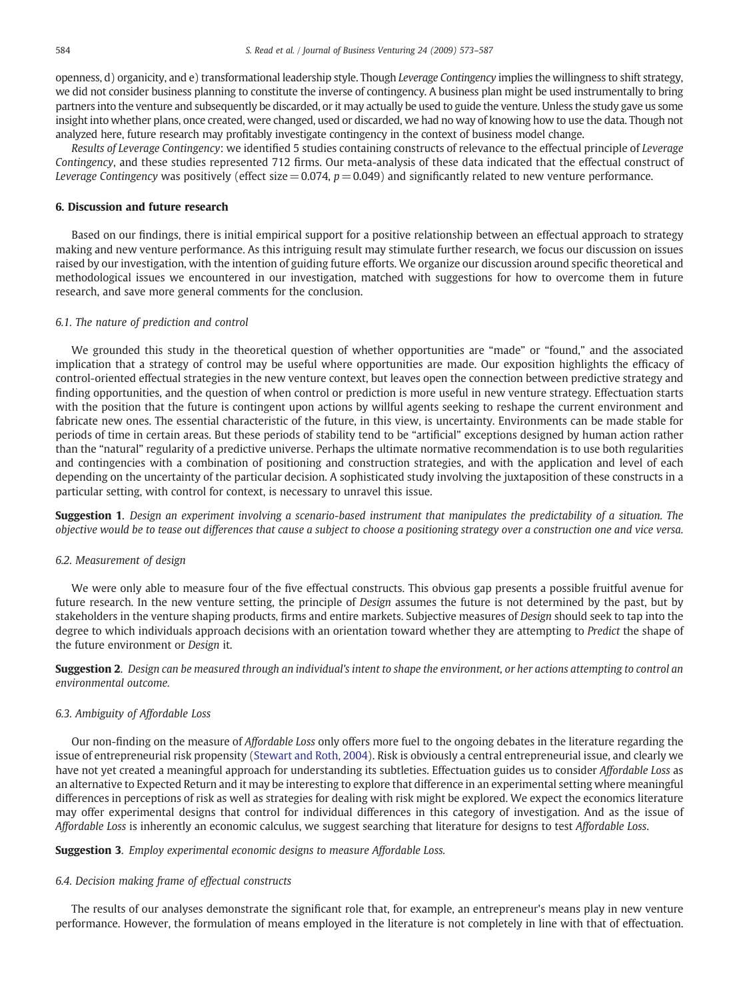openness, d) organicity, and e) transformational leadership style. Though Leverage Contingency implies the willingness to shift strategy, we did not consider business planning to constitute the inverse of contingency. A business plan might be used instrumentally to bring partners into the venture and subsequently be discarded, or it may actually be used to guide the venture. Unless the study gave us some insight into whether plans, once created, were changed, used or discarded, we had no way of knowing how to use the data. Though not analyzed here, future research may profitably investigate contingency in the context of business model change.

Results of Leverage Contingency: we identified 5 studies containing constructs of relevance to the effectual principle of Leverage Contingency, and these studies represented 712 firms. Our meta-analysis of these data indicated that the effectual construct of Leverage Contingency was positively (effect size = 0.074,  $p = 0.049$ ) and significantly related to new venture performance.

# 6. Discussion and future research

Based on our findings, there is initial empirical support for a positive relationship between an effectual approach to strategy making and new venture performance. As this intriguing result may stimulate further research, we focus our discussion on issues raised by our investigation, with the intention of guiding future efforts. We organize our discussion around specific theoretical and methodological issues we encountered in our investigation, matched with suggestions for how to overcome them in future research, and save more general comments for the conclusion.

#### 6.1. The nature of prediction and control

We grounded this study in the theoretical question of whether opportunities are "made" or "found," and the associated implication that a strategy of control may be useful where opportunities are made. Our exposition highlights the efficacy of control-oriented effectual strategies in the new venture context, but leaves open the connection between predictive strategy and finding opportunities, and the question of when control or prediction is more useful in new venture strategy. Effectuation starts with the position that the future is contingent upon actions by willful agents seeking to reshape the current environment and fabricate new ones. The essential characteristic of the future, in this view, is uncertainty. Environments can be made stable for periods of time in certain areas. But these periods of stability tend to be "artificial" exceptions designed by human action rather than the "natural" regularity of a predictive universe. Perhaps the ultimate normative recommendation is to use both regularities and contingencies with a combination of positioning and construction strategies, and with the application and level of each depending on the uncertainty of the particular decision. A sophisticated study involving the juxtaposition of these constructs in a particular setting, with control for context, is necessary to unravel this issue.

Suggestion 1. Design an experiment involving a scenario-based instrument that manipulates the predictability of a situation. The objective would be to tease out differences that cause a subject to choose a positioning strategy over a construction one and vice versa.

# 6.2. Measurement of design

We were only able to measure four of the five effectual constructs. This obvious gap presents a possible fruitful avenue for future research. In the new venture setting, the principle of Design assumes the future is not determined by the past, but by stakeholders in the venture shaping products, firms and entire markets. Subjective measures of Design should seek to tap into the degree to which individuals approach decisions with an orientation toward whether they are attempting to Predict the shape of the future environment or Design it.

Suggestion 2. Design can be measured through an individual's intent to shape the environment, or her actions attempting to control an environmental outcome.

### 6.3. Ambiguity of Affordable Loss

Our non-finding on the measure of Affordable Loss only offers more fuel to the ongoing debates in the literature regarding the issue of entrepreneurial risk propensity ([Stewart and Roth, 2004](#page-14-0)). Risk is obviously a central entrepreneurial issue, and clearly we have not vet created a meaningful approach for understanding its subtleties. Effectuation guides us to consider Affordable Loss as an alternative to Expected Return and it may be interesting to explore that difference in an experimental setting where meaningful differences in perceptions of risk as well as strategies for dealing with risk might be explored. We expect the economics literature may offer experimental designs that control for individual differences in this category of investigation. And as the issue of Affordable Loss is inherently an economic calculus, we suggest searching that literature for designs to test Affordable Loss.

# Suggestion 3. Employ experimental economic designs to measure Affordable Loss.

#### 6.4. Decision making frame of effectual constructs

The results of our analyses demonstrate the significant role that, for example, an entrepreneur's means play in new venture performance. However, the formulation of means employed in the literature is not completely in line with that of effectuation.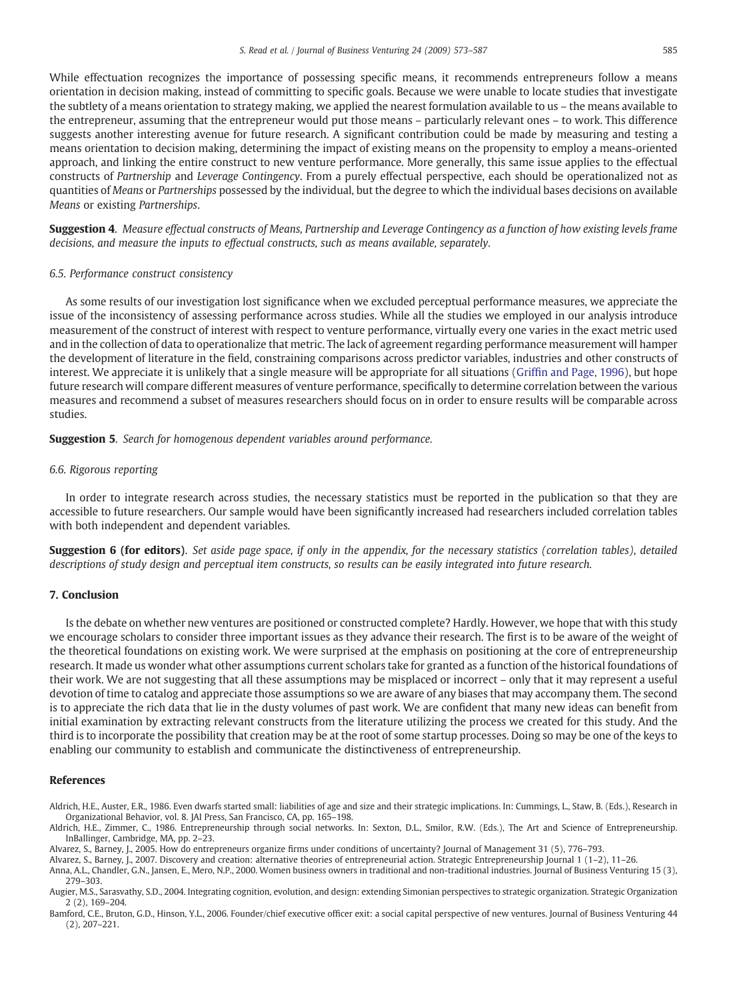<span id="page-12-0"></span>While effectuation recognizes the importance of possessing specific means, it recommends entrepreneurs follow a means orientation in decision making, instead of committing to specific goals. Because we were unable to locate studies that investigate the subtlety of a means orientation to strategy making, we applied the nearest formulation available to us – the means available to the entrepreneur, assuming that the entrepreneur would put those means – particularly relevant ones – to work. This difference suggests another interesting avenue for future research. A significant contribution could be made by measuring and testing a means orientation to decision making, determining the impact of existing means on the propensity to employ a means-oriented approach, and linking the entire construct to new venture performance. More generally, this same issue applies to the effectual constructs of Partnership and Leverage Contingency. From a purely effectual perspective, each should be operationalized not as quantities of Means or Partnerships possessed by the individual, but the degree to which the individual bases decisions on available Means or existing Partnerships.

Suggestion 4. Measure effectual constructs of Means, Partnership and Leverage Contingency as a function of how existing levels frame decisions, and measure the inputs to effectual constructs, such as means available, separately.

# 6.5. Performance construct consistency

As some results of our investigation lost significance when we excluded perceptual performance measures, we appreciate the issue of the inconsistency of assessing performance across studies. While all the studies we employed in our analysis introduce measurement of the construct of interest with respect to venture performance, virtually every one varies in the exact metric used and in the collection of data to operationalize that metric. The lack of agreement regarding performance measurement will hamper the development of literature in the field, constraining comparisons across predictor variables, industries and other constructs of interest. We appreciate it is unlikely that a single measure will be appropriate for all situations (Griffi[n and Page, 1996](#page-13-0)), but hope future research will compare different measures of venture performance, specifically to determine correlation between the various measures and recommend a subset of measures researchers should focus on in order to ensure results will be comparable across studies.

Suggestion 5. Search for homogenous dependent variables around performance.

# 6.6. Rigorous reporting

In order to integrate research across studies, the necessary statistics must be reported in the publication so that they are accessible to future researchers. Our sample would have been significantly increased had researchers included correlation tables with both independent and dependent variables.

Suggestion 6 (for editors). Set aside page space, if only in the appendix, for the necessary statistics (correlation tables), detailed descriptions of study design and perceptual item constructs, so results can be easily integrated into future research.

## 7. Conclusion

Is the debate on whether new ventures are positioned or constructed complete? Hardly. However, we hope that with this study we encourage scholars to consider three important issues as they advance their research. The first is to be aware of the weight of the theoretical foundations on existing work. We were surprised at the emphasis on positioning at the core of entrepreneurship research. It made us wonder what other assumptions current scholars take for granted as a function of the historical foundations of their work. We are not suggesting that all these assumptions may be misplaced or incorrect – only that it may represent a useful devotion of time to catalog and appreciate those assumptions so we are aware of any biases that may accompany them. The second is to appreciate the rich data that lie in the dusty volumes of past work. We are confident that many new ideas can benefit from initial examination by extracting relevant constructs from the literature utilizing the process we created for this study. And the third is to incorporate the possibility that creation may be at the root of some startup processes. Doing so may be one of the keys to enabling our community to establish and communicate the distinctiveness of entrepreneurship.

# References

Aldrich, H.E., Auster, E.R., 1986. Even dwarfs started small: liabilities of age and size and their strategic implications. In: Cummings, L., Staw, B. (Eds.), Research in Organizational Behavior, vol. 8. JAI Press, San Francisco, CA, pp. 165–198.

Aldrich, H.E., Zimmer, C., 1986. Entrepreneurship through social networks. In: Sexton, D.L., Smilor, R.W. (Eds.), The Art and Science of Entrepreneurship. InBallinger, Cambridge, MA, pp. 2–23.

Alvarez, S., Barney, J., 2005. How do entrepreneurs organize firms under conditions of uncertainty? Journal of Management 31 (5), 776–793.

Alvarez, S., Barney, J., 2007. Discovery and creation: alternative theories of entrepreneurial action. Strategic Entrepreneurship Journal 1 (1–2), 11–26.

Anna, A.L., Chandler, G.N., Jansen, E., Mero, N.P., 2000. Women business owners in traditional and non-traditional industries. Journal of Business Venturing 15 (3), 279–303.

Augier, M.S., Sarasvathy, S.D., 2004. Integrating cognition, evolution, and design: extending Simonian perspectives to strategic organization. Strategic Organization 2 (2), 169–204.

Bamford, C.E., Bruton, G.D., Hinson, Y.L., 2006. Founder/chief executive officer exit: a social capital perspective of new ventures. Journal of Business Venturing 44 (2), 207–221.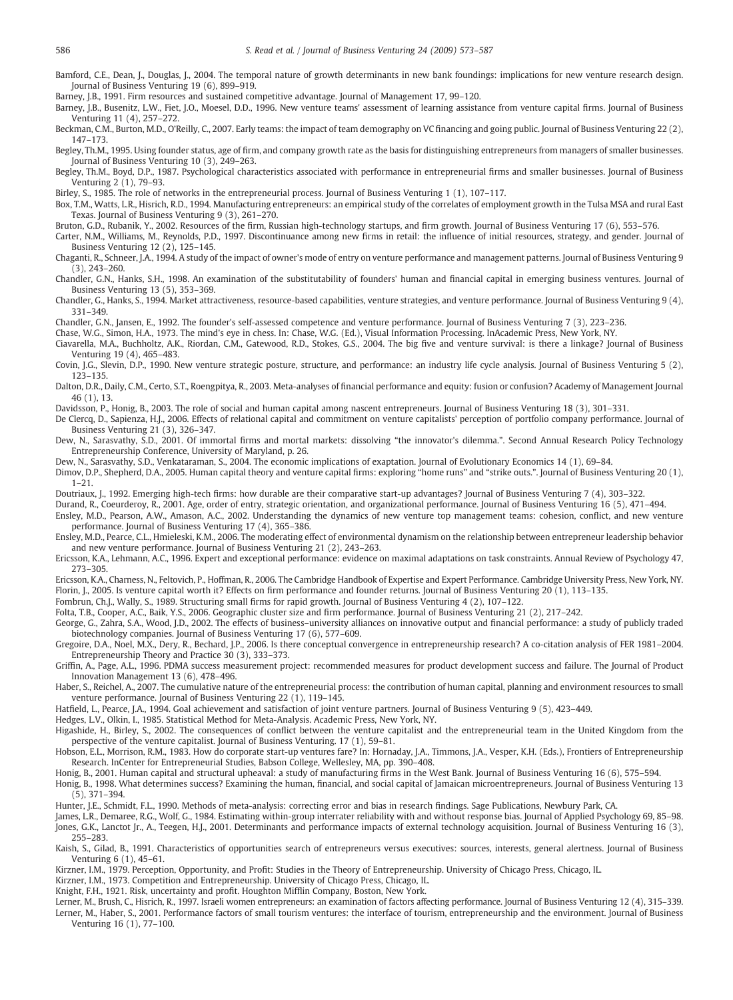<span id="page-13-0"></span>Bamford, C.E., Dean, J., Douglas, J., 2004. The temporal nature of growth determinants in new bank foundings: implications for new venture research design. Journal of Business Venturing 19 (6), 899–919.

Barney, J.B., 1991. Firm resources and sustained competitive advantage. Journal of Management 17, 99–120.

Barney, J.B., Busenitz, L.W., Fiet, J.O., Moesel, D.D., 1996. New venture teams' assessment of learning assistance from venture capital firms. Journal of Business Venturing 11 (4), 257–272.

Beckman, C.M., Burton, M.D., O'Reilly, C., 2007. Early teams: the impact of team demography on VC financing and going public. Journal of Business Venturing 22 (2), 147–173.

Begley, Th.M., 1995. Using founder status, age of firm, and company growth rate as the basis for distinguishing entrepreneurs from managers of smaller businesses. Journal of Business Venturing 10 (3), 249–263.

Begley, Th.M., Boyd, D.P., 1987. Psychological characteristics associated with performance in entrepreneurial firms and smaller businesses. Journal of Business Venturing 2 (1), 79–93.

Birley, S., 1985. The role of networks in the entrepreneurial process. Journal of Business Venturing 1 (1), 107–117.

Box, T.M., Watts, L.R., Hisrich, R.D., 1994. Manufacturing entrepreneurs: an empirical study of the correlates of employment growth in the Tulsa MSA and rural East Texas. Journal of Business Venturing 9 (3), 261–270.

Bruton, G.D., Rubanik, Y., 2002. Resources of the firm, Russian high-technology startups, and firm growth. Journal of Business Venturing 17 (6), 553–576.

Carter, N.M., Williams, M., Reynolds, P.D., 1997. Discontinuance among new firms in retail: the influence of initial resources, strategy, and gender. Journal of Business Venturing 12 (2), 125–145.

Chaganti, R., Schneer, J.A., 1994. A study of the impact of owner's mode of entry on venture performance and management patterns. Journal of Business Venturing 9 (3), 243–260.

Chandler, G.N., Hanks, S.H., 1998. An examination of the substitutability of founders' human and financial capital in emerging business ventures. Journal of Business Venturing 13 (5), 353–369.

Chandler, G., Hanks, S., 1994. Market attractiveness, resource-based capabilities, venture strategies, and venture performance. Journal of Business Venturing 9 (4), 331–349.

Chandler, G.N., Jansen, E., 1992. The founder's self-assessed competence and venture performance. Journal of Business Venturing 7 (3), 223–236.

Chase, W.G., Simon, H.A., 1973. The mind's eye in chess. In: Chase, W.G. (Ed.), Visual Information Processing. InAcademic Press, New York, NY.

Ciavarella, M.A., Buchholtz, A.K., Riordan, C.M., Gatewood, R.D., Stokes, G.S., 2004. The big five and venture survival: is there a linkage? Journal of Business Venturing 19 (4), 465–483.

Covin, J.G., Slevin, D.P., 1990. New venture strategic posture, structure, and performance: an industry life cycle analysis. Journal of Business Venturing 5 (2), 123–135.

Dalton, D.R., Daily, C.M., Certo, S.T., Roengpitya, R., 2003. Meta-analyses of financial performance and equity: fusion or confusion? Academy of Management Journal 46 (1), 13.

Davidsson, P., Honig, B., 2003. The role of social and human capital among nascent entrepreneurs. Journal of Business Venturing 18 (3), 301–331.

De Clercq, D., Sapienza, H.J., 2006. Effects of relational capital and commitment on venture capitalists' perception of portfolio company performance. Journal of Business Venturing 21 (3), 326–347.

Dew, N., Sarasvathy, S.D., 2001. Of immortal firms and mortal markets: dissolving "the innovator's dilemma.". Second Annual Research Policy Technology Entrepreneurship Conference, University of Maryland, p. 26.

Dew, N., Sarasvathy, S.D., Venkataraman, S., 2004. The economic implications of exaptation. Journal of Evolutionary Economics 14 (1), 69–84.

Dimov, D.P., Shepherd, D.A., 2005. Human capital theory and venture capital firms: exploring "home runs" and "strike outs.". Journal of Business Venturing 20 (1), 1–21.

Doutriaux, J., 1992. Emerging high-tech firms: how durable are their comparative start-up advantages? Journal of Business Venturing 7 (4), 303–322.

Durand, R., Coeurderoy, R., 2001. Age, order of entry, strategic orientation, and organizational performance. Journal of Business Venturing 16 (5), 471–494.

Ensley, M.D., Pearson, A.W., Amason, A.C., 2002. Understanding the dynamics of new venture top management teams: cohesion, conflict, and new venture performance. Journal of Business Venturing 17 (4), 365–386.

Ensley, M.D., Pearce, C.L., Hmieleski, K.M., 2006. The moderating effect of environmental dynamism on the relationship between entrepreneur leadership behavior and new venture performance. Journal of Business Venturing 21 (2), 243–263.

Ericsson, K.A., Lehmann, A.C., 1996. Expert and exceptional performance: evidence on maximal adaptations on task constraints. Annual Review of Psychology 47, 273–305.

Ericsson, K.A., Charness, N., Feltovich, P., Hoffman, R., 2006. The Cambridge Handbook of Expertise and Expert Performance. Cambridge University Press, New York, NY. Florin, J., 2005. Is venture capital worth it? Effects on firm performance and founder returns. Journal of Business Venturing 20 (1), 113–135.

Fombrun, Ch.J., Wally, S., 1989. Structuring small firms for rapid growth. Journal of Business Venturing 4 (2), 107–122.

Folta, T.B., Cooper, A.C., Baik, Y.S., 2006. Geographic cluster size and firm performance. Journal of Business Venturing 21 (2), 217–242.

George, G., Zahra, S.A., Wood, J.D., 2002. The effects of business–university alliances on innovative output and financial performance: a study of publicly traded biotechnology companies. Journal of Business Venturing 17 (6), 577–609.

Gregoire, D.A., Noel, M.X., Dery, R., Bechard, J.P., 2006. Is there conceptual convergence in entrepreneurship research? A co-citation analysis of FER 1981–2004. Entrepreneurship Theory and Practice 30 (3), 333–373.

Griffin, A., Page, A.L., 1996. PDMA success measurement project: recommended measures for product development success and failure. The Journal of Product Innovation Management 13 (6), 478–496.

Haber, S., Reichel, A., 2007. The cumulative nature of the entrepreneurial process: the contribution of human capital, planning and environment resources to small venture performance. Journal of Business Venturing 22 (1), 119–145.

Hatfield, L., Pearce, J.A., 1994. Goal achievement and satisfaction of joint venture partners. Journal of Business Venturing 9 (5), 423–449.

Hedges, L.V., Olkin, I., 1985. Statistical Method for Meta-Analysis. Academic Press, New York, NY.

Higashide, H., Birley, S., 2002. The consequences of conflict between the venture capitalist and the entrepreneurial team in the United Kingdom from the perspective of the venture capitalist. Journal of Business Venturing. 17 (1), 59–81.

Hobson, E.L., Morrison, R.M., 1983. How do corporate start-up ventures fare? In: Hornaday, J.A., Timmons, J.A., Vesper, K.H. (Eds.), Frontiers of Entrepreneurship Research. InCenter for Entrepreneurial Studies, Babson College, Wellesley, MA, pp. 390–408.

Honig, B., 2001. Human capital and structural upheaval: a study of manufacturing firms in the West Bank. Journal of Business Venturing 16 (6), 575–594.

Honig, B., 1998. What determines success? Examining the human, financial, and social capital of Jamaican microentrepreneurs. Journal of Business Venturing 13 (5), 371–394.

Hunter, J.E., Schmidt, F.L., 1990. Methods of meta-analysis: correcting error and bias in research findings. Sage Publications, Newbury Park, CA.

James, L.R., Demaree, R.G., Wolf, G., 1984. Estimating within-group interrater reliability with and without response bias. Journal of Applied Psychology 69, 85–98.

Jones, G.K., Lanctot Jr., A., Teegen, H.J., 2001. Determinants and performance impacts of external technology acquisition. Journal of Business Venturing 16 (3), 255–283.

Kaish, S., Gilad, B., 1991. Characteristics of opportunities search of entrepreneurs versus executives: sources, interests, general alertness. Journal of Business Venturing 6 (1), 45–61.

Kirzner, I.M., 1979. Perception, Opportunity, and Profit: Studies in the Theory of Entrepreneurship. University of Chicago Press, Chicago, IL.

Kirzner, I.M., 1973. Competition and Entrepreneurship. University of Chicago Press, Chicago, IL.

Knight, F.H., 1921. Risk, uncertainty and profit. Houghton Mifflin Company, Boston, New York.

Lerner, M., Brush, C., Hisrich, R., 1997. Israeli women entrepreneurs: an examination of factors affecting performance. Journal of Business Venturing 12 (4), 315–339. Lerner, M., Haber, S., 2001. Performance factors of small tourism ventures: the interface of tourism, entrepreneurship and the environment. Journal of Business Venturing 16 (1), 77–100.